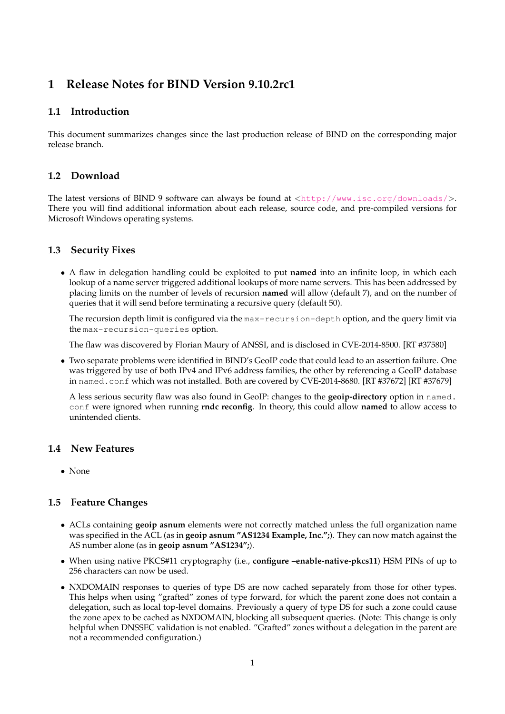# **1 Release Notes for BIND Version 9.10.2rc1**

## **1.1 Introduction**

This document summarizes changes since the last production release of BIND on the corresponding major release branch.

## **1.2 Download**

The latest versions of BIND 9 software can always be found at <<http://www.isc.org/downloads/>>. There you will find additional information about each release, source code, and pre-compiled versions for Microsoft Windows operating systems.

## **1.3 Security Fixes**

• A flaw in delegation handling could be exploited to put **named** into an infinite loop, in which each lookup of a name server triggered additional lookups of more name servers. This has been addressed by placing limits on the number of levels of recursion **named** will allow (default 7), and on the number of queries that it will send before terminating a recursive query (default 50).

The recursion depth limit is configured via the max-recursion-depth option, and the query limit via the max-recursion-queries option.

The flaw was discovered by Florian Maury of ANSSI, and is disclosed in CVE-2014-8500. [RT #37580]

• Two separate problems were identified in BIND's GeoIP code that could lead to an assertion failure. One was triggered by use of both IPv4 and IPv6 address families, the other by referencing a GeoIP database in named.conf which was not installed. Both are covered by CVE-2014-8680. [RT #37672] [RT #37679]

A less serious security flaw was also found in GeoIP: changes to the **geoip-directory** option in named. conf were ignored when running **rndc reconfig**. In theory, this could allow **named** to allow access to unintended clients.

#### **1.4 New Features**

• None

# **1.5 Feature Changes**

- ACLs containing **geoip asnum** elements were not correctly matched unless the full organization name was specified in the ACL (as in **geoip asnum "AS1234 Example, Inc.";**). They can now match against the AS number alone (as in **geoip asnum "AS1234";**).
- When using native PKCS#11 cryptography (i.e., **configure –enable-native-pkcs11**) HSM PINs of up to 256 characters can now be used.
- NXDOMAIN responses to queries of type DS are now cached separately from those for other types. This helps when using "grafted" zones of type forward, for which the parent zone does not contain a delegation, such as local top-level domains. Previously a query of type DS for such a zone could cause the zone apex to be cached as NXDOMAIN, blocking all subsequent queries. (Note: This change is only helpful when DNSSEC validation is not enabled. "Grafted" zones without a delegation in the parent are not a recommended configuration.)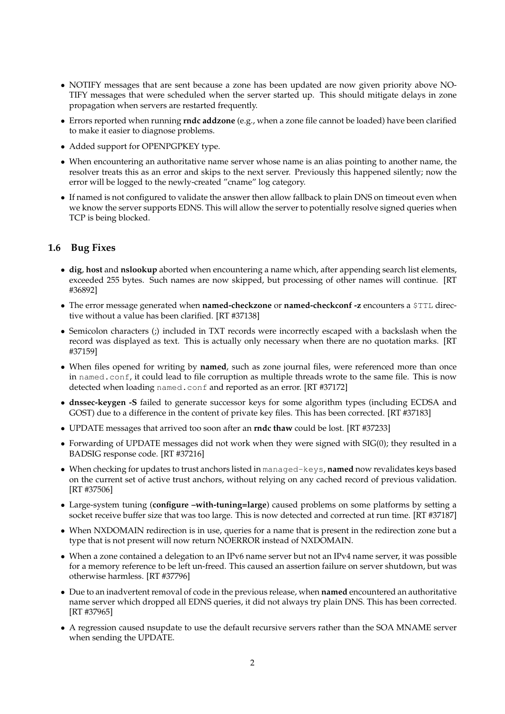- NOTIFY messages that are sent because a zone has been updated are now given priority above NO-TIFY messages that were scheduled when the server started up. This should mitigate delays in zone propagation when servers are restarted frequently.
- Errors reported when running **rndc addzone** (e.g., when a zone file cannot be loaded) have been clarified to make it easier to diagnose problems.
- Added support for OPENPGPKEY type.
- When encountering an authoritative name server whose name is an alias pointing to another name, the resolver treats this as an error and skips to the next server. Previously this happened silently; now the error will be logged to the newly-created "cname" log category.
- If named is not configured to validate the answer then allow fallback to plain DNS on timeout even when we know the server supports EDNS. This will allow the server to potentially resolve signed queries when TCP is being blocked.

# **1.6 Bug Fixes**

- **dig**, **host** and **nslookup** aborted when encountering a name which, after appending search list elements, exceeded 255 bytes. Such names are now skipped, but processing of other names will continue. [RT #36892]
- The error message generated when **named-checkzone** or **named-checkconf -z** encounters a \$TTL directive without a value has been clarified. [RT #37138]
- Semicolon characters (;) included in TXT records were incorrectly escaped with a backslash when the record was displayed as text. This is actually only necessary when there are no quotation marks. [RT #37159]
- When files opened for writing by **named**, such as zone journal files, were referenced more than once in named.conf, it could lead to file corruption as multiple threads wrote to the same file. This is now detected when loading named.conf and reported as an error. [RT #37172]
- **dnssec-keygen -S** failed to generate successor keys for some algorithm types (including ECDSA and GOST) due to a difference in the content of private key files. This has been corrected. [RT #37183]
- UPDATE messages that arrived too soon after an **rndc thaw** could be lost. [RT #37233]
- Forwarding of UPDATE messages did not work when they were signed with SIG(0); they resulted in a BADSIG response code. [RT #37216]
- When checking for updates to trust anchors listed in managed-keys, **named** now revalidates keys based on the current set of active trust anchors, without relying on any cached record of previous validation. [RT #37506]
- Large-system tuning (**configure –with-tuning=large**) caused problems on some platforms by setting a socket receive buffer size that was too large. This is now detected and corrected at run time. [RT #37187]
- When NXDOMAIN redirection is in use, queries for a name that is present in the redirection zone but a type that is not present will now return NOERROR instead of NXDOMAIN.
- When a zone contained a delegation to an IPv6 name server but not an IPv4 name server, it was possible for a memory reference to be left un-freed. This caused an assertion failure on server shutdown, but was otherwise harmless. [RT #37796]
- Due to an inadvertent removal of code in the previous release, when **named** encountered an authoritative name server which dropped all EDNS queries, it did not always try plain DNS. This has been corrected. [RT #37965]
- A regression caused nsupdate to use the default recursive servers rather than the SOA MNAME server when sending the UPDATE.